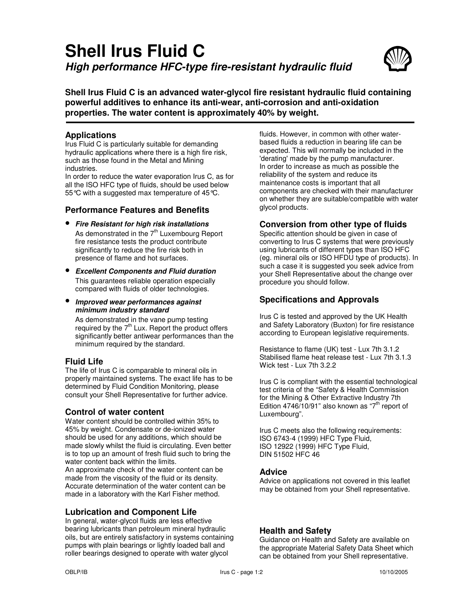# **Shell Irus Fluid C High performance HFC-type fire-resistant hydraulic fluid**



**Shell Irus Fluid C is an advanced water-glycol fire resistant hydraulic fluid containing powerful additives to enhance its anti-wear, anti-corrosion and anti-oxidation properties. The water content is approximately 40% by weight.** 

### **Applications**

Irus Fluid C is particularly suitable for demanding hydraulic applications where there is a high fire risk, such as those found in the Metal and Mining industries.

In order to reduce the water evaporation Irus C, as for all the ISO HFC type of fluids, should be used below 55 °C with a suggested max temperature of 45 °C.

### **Performance Features and Benefits**

- **Fire Resistant for high risk installations** As demonstrated in the  $7<sup>th</sup>$  Luxembourg Report fire resistance tests the product contribute significantly to reduce the fire risk both in presence of flame and hot surfaces.
- **Excellent Components and Fluid duration** This guarantees reliable operation especially compared with fluids of older technologies.
- **Improved wear performances against minimum industry standard**

As demonstrated in the vane pump testing required by the  $7<sup>th</sup>$  Lux. Report the product offers significantly better antiwear performances than the minimum required by the standard.

# **Fluid Life**

The life of Irus C is comparable to mineral oils in properly maintained systems. The exact life has to be determined by Fluid Condition Monitoring, please consult your Shell Representative for further advice.

#### **Control of water content**

Water content should be controlled within 35% to 45% by weight. Condensate or de-ionized water should be used for any additions, which should be made slowly whilst the fluid is circulating. Even better is to top up an amount of fresh fluid such to bring the water content back within the limits. An approximate check of the water content can be made from the viscosity of the fluid or its density. Accurate determination of the water content can be made in a laboratory with the Karl Fisher method.

# **Lubrication and Component Life**

In general, water-glycol fluids are less effective bearing lubricants than petroleum mineral hydraulic oils, but are entirely satisfactory in systems containing pumps with plain bearings or lightly loaded ball and roller bearings designed to operate with water glycol

fluids. However, in common with other waterbased fluids a reduction in bearing life can be expected. This will normally be included in the 'derating' made by the pump manufacturer. In order to increase as much as possible the reliability of the system and reduce its maintenance costs is important that all components are checked with their manufacturer on whether they are suitable/compatible with water glycol products.

### **Conversion from other type of fluids**

Specific attention should be given in case of converting to Irus C systems that were previously using lubricants of different types than ISO HFC (eg. mineral oils or ISO HFDU type of products). In such a case it is suggested you seek advice from your Shell Representative about the change over procedure you should follow.

# **Specifications and Approvals**

Irus C is tested and approved by the UK Health and Safety Laboratory (Buxton) for fire resistance according to European legislative requirements.

Resistance to flame (UK) test - Lux 7th 3.1.2 Stabilised flame heat release test - Lux 7th 3.1.3 Wick test - Lux 7th 3.2.2

Irus C is compliant with the essential technological test criteria of the "Safety & Health Commission for the Mining & Other Extractive Industry 7th Edition 4746/10/91" also known as " $7<sup>th</sup>$  report of Luxembourg".

Irus C meets also the following requirements: ISO 6743-4 (1999) HFC Type Fluid, ISO 12922 (1999) HFC Type Fluid, DIN 51502 HFC 46

#### **Advice**

Advice on applications not covered in this leaflet may be obtained from your Shell representative.

# **Health and Safety**

Guidance on Health and Safety are available on the appropriate Material Safety Data Sheet which can be obtained from your Shell representative.